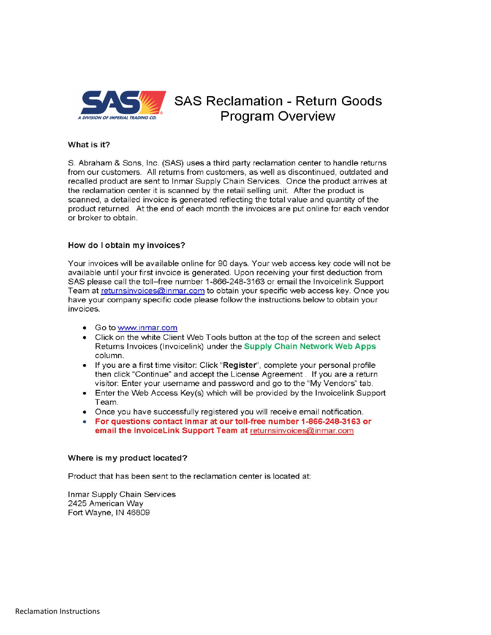

# **SAS Reclamation - Return Goods Program Overview**

# What is it?

S. Abraham & Sons. Inc. (SAS) uses a third party reclamation center to handle returns from our customers. All returns from customers, as well as discontinued, outdated and recalled product are sent to Inmar Supply Chain Services. Once the product arrives at the reclamation center it is scanned by the retail selling unit. After the product is scanned, a detailed invoice is generated reflecting the total value and quantity of the product returned. At the end of each month the invoices are put online for each vendor or broker to obtain.

## How do I obtain my invoices?

Your invoices will be available online for 90 days. Your web access key code will not be available until your first invoice is generated. Upon receiving your first deduction from SAS please call the toll–free number 1-866-248-3163 or email the Invoicelink Support Team at returnsinvoices@inmar.com to obtain your specific web access key. Once you have your company specific code please follow the instructions below to obtain your invoices.

- Go to www.inmar.com
- Click on the white Client Web Tools button at the top of the screen and select Returns Invoices (Invoicelink) under the Supply Chain Network Web Apps column.
- If you are a first time visitor: Click "Register", complete your personal profile then click "Continue" and accept the License Agreement. If you are a return visitor: Enter your username and password and go to the "My Vendors" tab.
- Enter the Web Access Key(s) which will be provided by the Invoicelink Support Team.
- Once you have successfully registered you will receive email notification.
- For questions contact Inmar at our toll-free number 1-866-248-3163 or email the InvoiceLink Support Team at returnsinvoices@inmar.com

#### Where is my product located?

Product that has been sent to the reclamation center is located at:

Inmar Supply Chain Services 2425 American Way Fort Wayne, IN 46809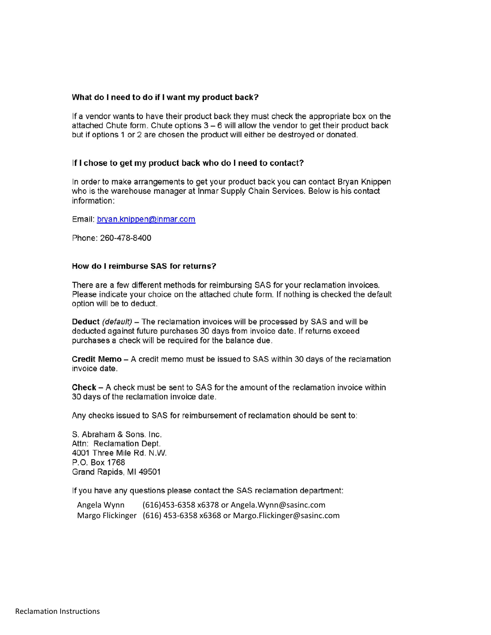# What do I need to do if I want my product back?

If a vendor wants to have their product back they must check the appropriate box on the attached Chute form. Chute options  $3 - 6$  will allow the vendor to get their product back but if options 1 or 2 are chosen the product will either be destroved or donated.

## If I chose to get my product back who do I need to contact?

In order to make arrangements to get your product back you can contact Bryan Knippen who is the warehouse manager at Inmar Supply Chain Services. Below is his contact information:

Email: bryan.knippen@inmar.com

Phone: 260-478-8400

# How do I reimburse SAS for returns?

There are a few different methods for reimbursing SAS for your reclamation invoices. Please indicate your choice on the attached chute form. If nothing is checked the default option will be to deduct.

**Deduct** (default) – The reclamation invoices will be processed by SAS and will be deducted against future purchases 30 days from invoice date. If returns exceed purchases a check will be required for the balance due.

Credit Memo - A credit memo must be issued to SAS within 30 days of the reclamation invoice date.

Check – A check must be sent to SAS for the amount of the reclamation invoice within 30 days of the reclamation invoice date.

Any checks issued to SAS for reimbursement of reclamation should be sent to:

S. Abraham & Sons. Inc. Attn: Reclamation Dept. 4001 Three Mile Rd. N.W. P.O. Box 1768 Grand Rapids, MI 49501

If you have any questions please contact the SAS reclamation department:

Angela Wynn (616)453-6358 x6378 or Angela. Wynn@sasinc.com Margo Flickinger (616) 453-6358 x6368 or Margo. Flickinger@sasinc.com